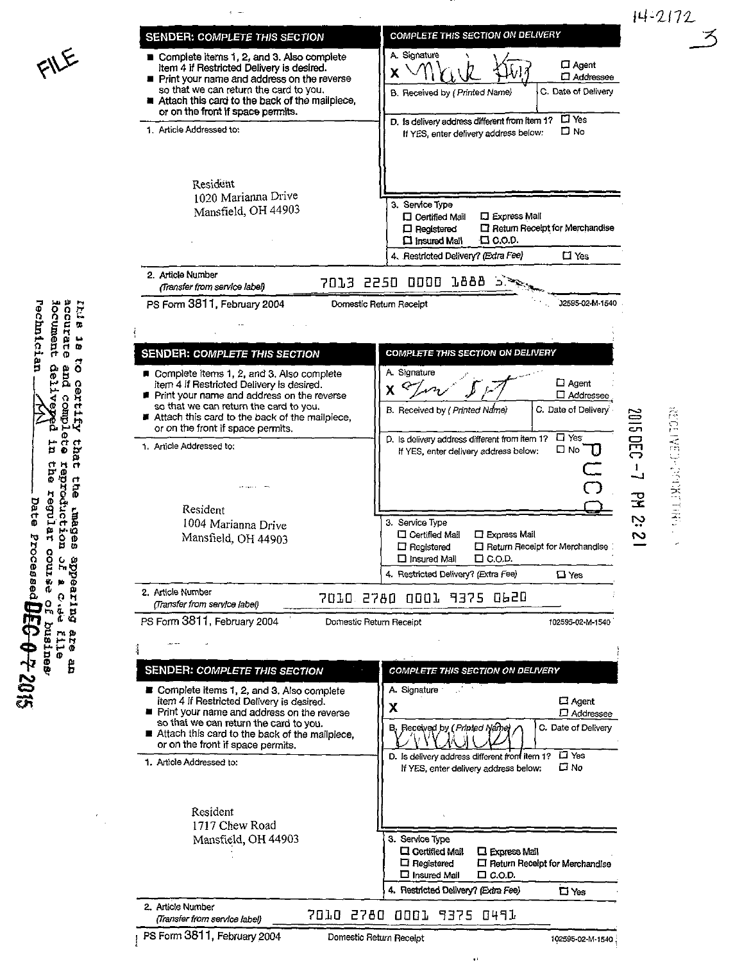



**EXECUTIVE PRESENTION** 

I  $\overline{\phantom{0}}$ 

 $\overline{\mathbf{x}}$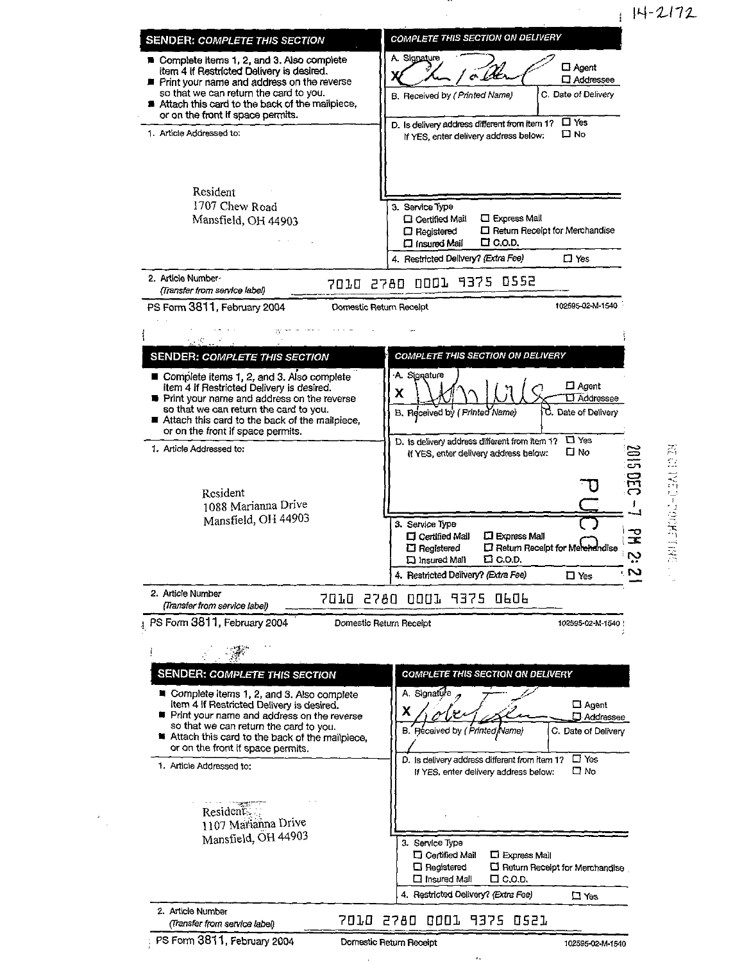14-2172



## 煮 なごていじょうきききょうたい